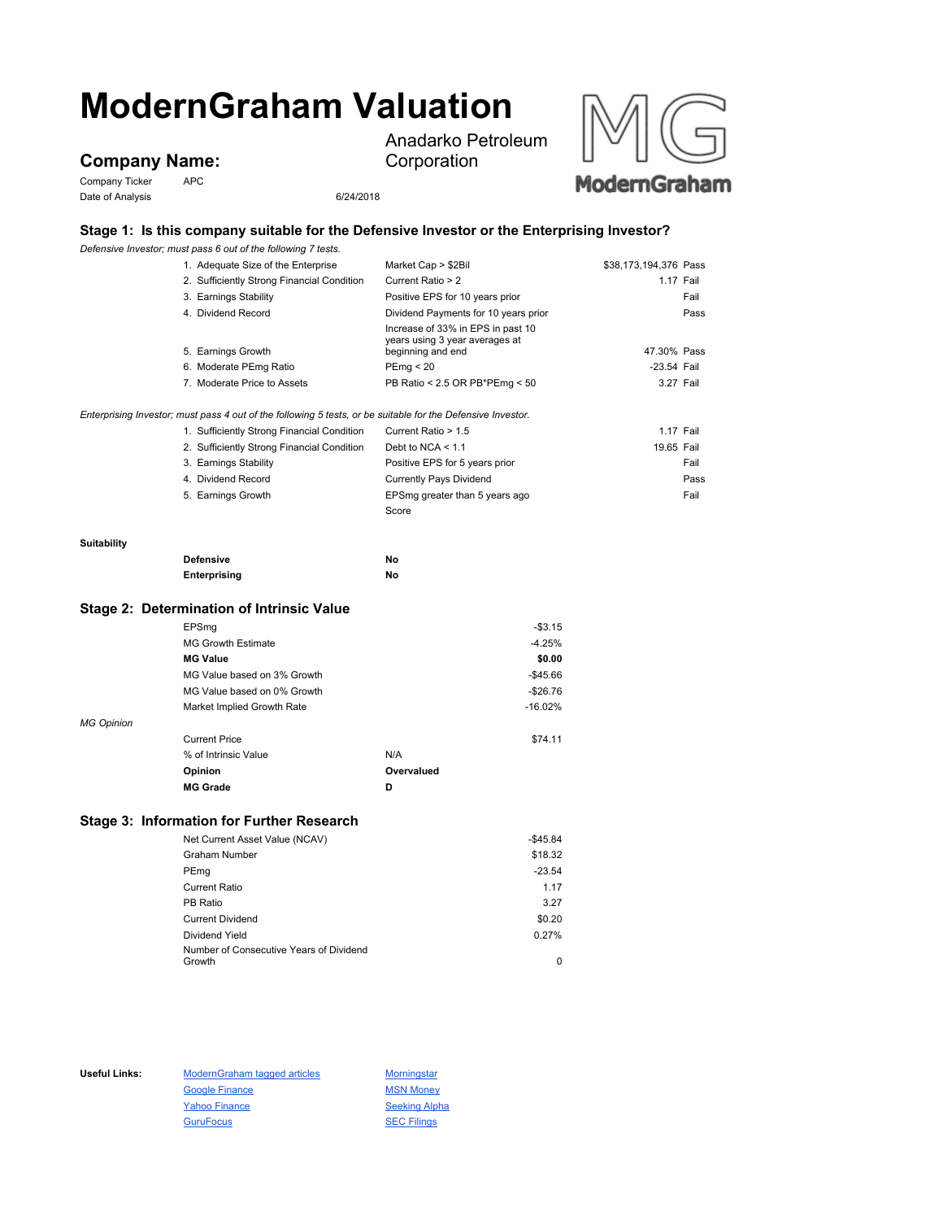# **ModernGraham Valuation**

## **Company Name:**

Company Ticker APC Date of Analysis 6/24/2018

Anadarko Petroleum Corporation



#### **Stage 1: Is this company suitable for the Defensive Investor or the Enterprising Investor?**

*Defensive Investor; must pass 6 out of the following 7 tests.*

|                    | Defensive Investor; must pass 6 out of the following 7 tests.                                               |                                                                     |                       |
|--------------------|-------------------------------------------------------------------------------------------------------------|---------------------------------------------------------------------|-----------------------|
|                    | 1. Adequate Size of the Enterprise                                                                          | Market Cap > \$2Bil                                                 | \$38,173,194,376 Pass |
|                    | 2. Sufficiently Strong Financial Condition                                                                  | Current Ratio > 2                                                   | 1.17 Fail             |
|                    | 3. Earnings Stability                                                                                       | Positive EPS for 10 years prior                                     | Fail                  |
|                    | 4. Dividend Record                                                                                          | Dividend Payments for 10 years prior                                | Pass                  |
|                    | 5. Earnings Growth                                                                                          | Increase of 33% in EPS in past 10<br>years using 3 year averages at | 47.30% Pass           |
|                    |                                                                                                             | beginning and end                                                   |                       |
|                    | 6. Moderate PEmg Ratio                                                                                      | PEmp < 20                                                           | -23.54 Fail           |
|                    | 7. Moderate Price to Assets                                                                                 | PB Ratio < 2.5 OR PB*PEmg < 50                                      | 3.27 Fail             |
|                    | Enterprising Investor; must pass 4 out of the following 5 tests, or be suitable for the Defensive Investor. |                                                                     |                       |
|                    | 1. Sufficiently Strong Financial Condition                                                                  | Current Ratio > 1.5                                                 | 1.17 Fail             |
|                    | 2. Sufficiently Strong Financial Condition                                                                  | Debt to NCA $<$ 1.1                                                 | 19.65 Fail            |
|                    | 3. Earnings Stability                                                                                       | Positive EPS for 5 years prior                                      | Fail                  |
|                    | 4. Dividend Record                                                                                          | <b>Currently Pays Dividend</b>                                      | Pass                  |
|                    | 5. Earnings Growth                                                                                          | EPSmg greater than 5 years ago                                      | Fail                  |
|                    |                                                                                                             | Score                                                               |                       |
|                    |                                                                                                             |                                                                     |                       |
| <b>Suitability</b> |                                                                                                             |                                                                     |                       |
|                    | <b>Defensive</b>                                                                                            | No                                                                  |                       |
|                    | Enterprising                                                                                                | No                                                                  |                       |
|                    | Stage 2: Determination of Intrinsic Value                                                                   |                                                                     |                       |
|                    | EPSmg                                                                                                       | $-$3.15$                                                            |                       |
|                    | <b>MG Growth Estimate</b>                                                                                   | $-4.25%$                                                            |                       |
|                    | <b>MG Value</b>                                                                                             | \$0.00                                                              |                       |
|                    | MG Value based on 3% Growth                                                                                 | $-$45.66$                                                           |                       |
|                    | MG Value based on 0% Growth                                                                                 | $-$26.76$                                                           |                       |
|                    | Market Implied Growth Rate                                                                                  | $-16.02%$                                                           |                       |
| <b>MG Opinion</b>  |                                                                                                             |                                                                     |                       |
|                    | <b>Current Price</b>                                                                                        | \$74.11                                                             |                       |
|                    | % of Intrinsic Value                                                                                        | N/A                                                                 |                       |
|                    | Opinion                                                                                                     | Overvalued                                                          |                       |
|                    | <b>MG Grade</b>                                                                                             | D                                                                   |                       |
|                    |                                                                                                             |                                                                     |                       |
|                    |                                                                                                             |                                                                     |                       |

### **Stage 3: Information for Further Research**

| Net Current Asset Value (NCAV)          | $-$45.84$ |
|-----------------------------------------|-----------|
| <b>Graham Number</b>                    | \$18.32   |
| PEmg                                    | $-23.54$  |
| <b>Current Ratio</b>                    | 1.17      |
| PB Ratio                                | 3.27      |
| <b>Current Dividend</b>                 | \$0.20    |
| Dividend Yield                          | 0.27%     |
| Number of Consecutive Years of Dividend |           |
| Growth                                  | 0         |

Useful Links: ModernGraham tagged articles Morningstar Google Finance MSN Money Yahoo Finance Seeking Alpha GuruFocus **SEC Filings**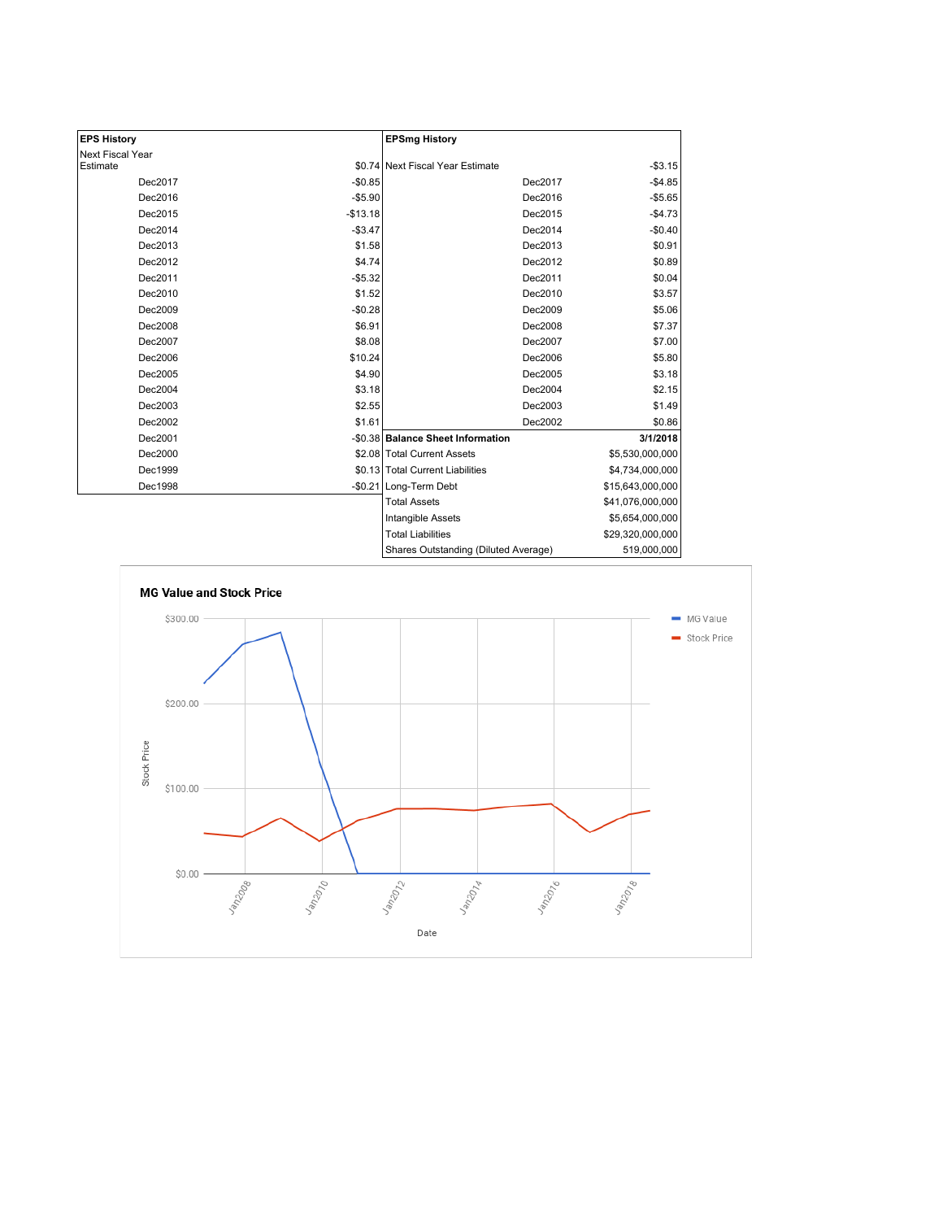| <b>EPS History</b> |           | <b>EPSmg History</b>                 |                  |
|--------------------|-----------|--------------------------------------|------------------|
| Next Fiscal Year   |           |                                      |                  |
| Estimate           |           | \$0.74 Next Fiscal Year Estimate     | $-$3.15$         |
| Dec2017            | $-$0.85$  | Dec2017                              | $-$4.85$         |
| Dec2016            | $-$5.90$  | Dec2016                              | $-$5.65$         |
| Dec2015            | $-$13.18$ | Dec2015                              | $-$4.73$         |
| Dec2014            | $-$3.47$  | Dec2014                              | $-$0.40$         |
| Dec2013            | \$1.58    | Dec2013                              | \$0.91           |
| Dec2012            | \$4.74    | Dec2012                              | \$0.89           |
| Dec2011            | $-$5.32$  | Dec2011                              | \$0.04           |
| Dec2010            | \$1.52    | Dec2010                              | \$3.57           |
| Dec2009            | $-$0.28$  | Dec2009                              | \$5.06           |
| Dec2008            | \$6.91    | Dec2008                              | \$7.37           |
| Dec2007            | \$8.08    | Dec2007                              | \$7.00           |
| Dec2006            | \$10.24   | Dec2006                              | \$5.80           |
| Dec2005            | \$4.90    | Dec2005                              | \$3.18           |
| Dec2004            | \$3.18    | Dec2004                              | \$2.15           |
| Dec2003            | \$2.55    | Dec2003                              | \$1.49           |
| Dec2002            | \$1.61    | Dec2002                              | \$0.86           |
| Dec2001            |           | -\$0.38 Balance Sheet Information    | 3/1/2018         |
| Dec2000            |           | \$2.08 Total Current Assets          | \$5,530,000,000  |
| Dec1999            |           | \$0.13 Total Current Liabilities     | \$4,734,000,000  |
| Dec1998            |           | -\$0.21 Long-Term Debt               | \$15,643,000,000 |
|                    |           | <b>Total Assets</b>                  | \$41,076,000,000 |
|                    |           | Intangible Assets                    | \$5,654,000,000  |
|                    |           | <b>Total Liabilities</b>             | \$29,320,000,000 |
|                    |           | Charge Outetanding (Diluted Average) | 510.000.000      |